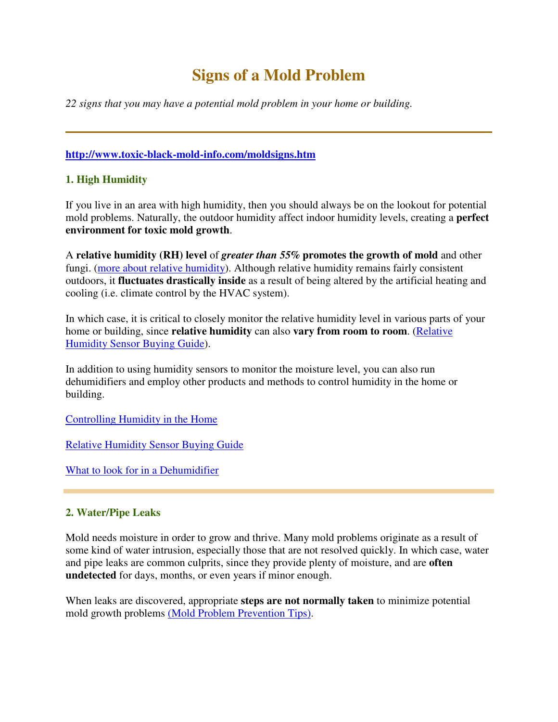# **Signs of a Mold Problem**

*22 signs that you may have a potential mold problem in your home or building.*

## **http://www.toxic-black-mold-info.com/moldsigns.htm**

## **1. High Humidity**

If you live in an area with high humidity, then you should always be on the lookout for potential mold problems. Naturally, the outdoor humidity affect indoor humidity levels, creating a **perfect environment for toxic mold growth**.

A **relative humidity (RH) level** of *greater than 55%* **promotes the growth of mold** and other fungi. (more about relative humidity). Although relative humidity remains fairly consistent outdoors, it **fluctuates drastically inside** as a result of being altered by the artificial heating and cooling (i.e. climate control by the HVAC system).

In which case, it is critical to closely monitor the relative humidity level in various parts of your home or building, since **relative humidity** can also **vary from room to room**. (Relative Humidity Sensor Buying Guide).

In addition to using humidity sensors to monitor the moisture level, you can also run dehumidifiers and employ other products and methods to control humidity in the home or building.

Controlling Humidity in the Home

Relative Humidity Sensor Buying Guide

What to look for in a Dehumidifier

# **2. Water/Pipe Leaks**

Mold needs moisture in order to grow and thrive. Many mold problems originate as a result of some kind of water intrusion, especially those that are not resolved quickly. In which case, water and pipe leaks are common culprits, since they provide plenty of moisture, and are **often undetected** for days, months, or even years if minor enough.

When leaks are discovered, appropriate **steps are not normally taken** to minimize potential mold growth problems (Mold Problem Prevention Tips).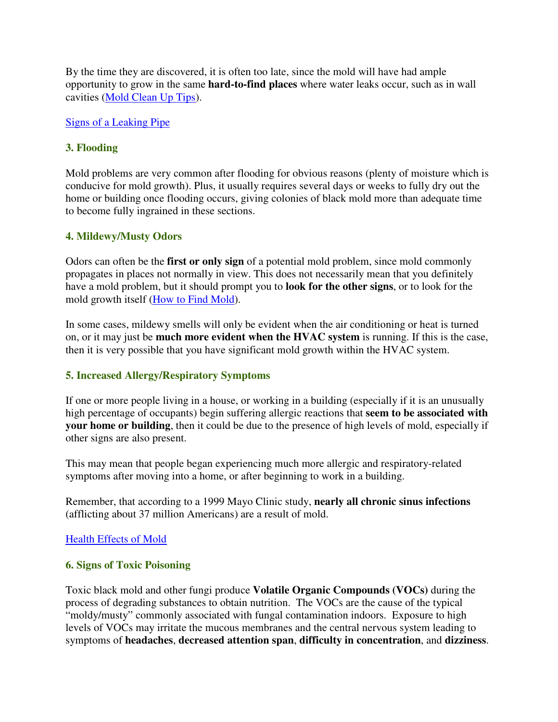By the time they are discovered, it is often too late, since the mold will have had ample opportunity to grow in the same **hard-to-find places** where water leaks occur, such as in wall cavities (Mold Clean Up Tips).

## Signs of a Leaking Pipe

## **3. Flooding**

Mold problems are very common after flooding for obvious reasons (plenty of moisture which is conducive for mold growth). Plus, it usually requires several days or weeks to fully dry out the home or building once flooding occurs, giving colonies of black mold more than adequate time to become fully ingrained in these sections.

## **4. Mildewy/Musty Odors**

Odors can often be the **first or only sign** of a potential mold problem, since mold commonly propagates in places not normally in view. This does not necessarily mean that you definitely have a mold problem, but it should prompt you to **look for the other signs**, or to look for the mold growth itself (How to Find Mold).

In some cases, mildewy smells will only be evident when the air conditioning or heat is turned on, or it may just be **much more evident when the HVAC system** is running. If this is the case, then it is very possible that you have significant mold growth within the HVAC system.

## **5. Increased Allergy/Respiratory Symptoms**

If one or more people living in a house, or working in a building (especially if it is an unusually high percentage of occupants) begin suffering allergic reactions that **seem to be associated with your home or building**, then it could be due to the presence of high levels of mold, especially if other signs are also present.

This may mean that people began experiencing much more allergic and respiratory-related symptoms after moving into a home, or after beginning to work in a building.

Remember, that according to a 1999 Mayo Clinic study, **nearly all chronic sinus infections** (afflicting about 37 million Americans) are a result of mold.

## Health Effects of Mold

## **6. Signs of Toxic Poisoning**

Toxic black mold and other fungi produce **Volatile Organic Compounds (VOCs)** during the process of degrading substances to obtain nutrition. The VOCs are the cause of the typical "moldy/musty" commonly associated with fungal contamination indoors. Exposure to high levels of VOCs may irritate the mucous membranes and the central nervous system leading to symptoms of **headaches**, **decreased attention span**, **difficulty in concentration**, and **dizziness**.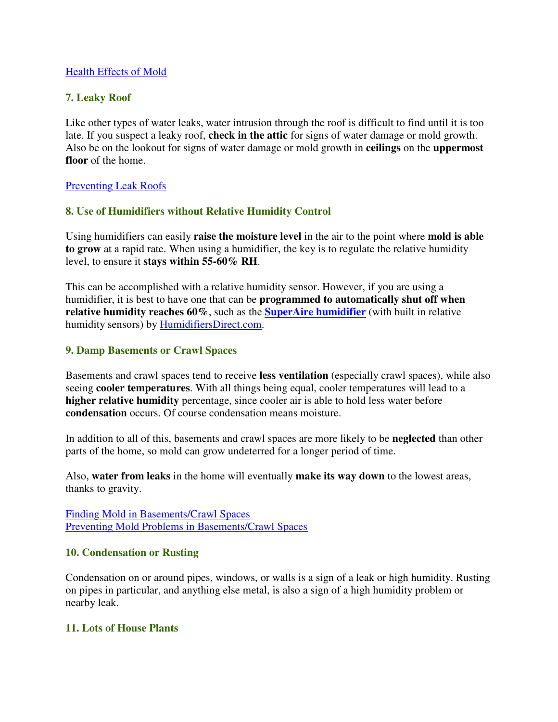## Health Effects of Mold

## **7. Leaky Roof**

Like other types of water leaks, water intrusion through the roof is difficult to find until it is too late. If you suspect a leaky roof, **check in the attic** for signs of water damage or mold growth. Also be on the lookout for signs of water damage or mold growth in **ceilings** on the **uppermost floor** of the home.

## Preventing Leak Roofs

## **8. Use of Humidifiers without Relative Humidity Control**

Using humidifiers can easily **raise the moisture level** in the air to the point where **mold is able to grow** at a rapid rate. When using a humidifier, the key is to regulate the relative humidity level, to ensure it **stays within 55-60% RH**.

This can be accomplished with a relative humidity sensor. However, if you are using a humidifier, it is best to have one that can be **programmed to automatically shut off when relative humidity reaches 60%**, such as the **SuperAire humidifier** (with built in relative humidity sensors) by HumidifiersDirect.com.

## **9. Damp Basements or Crawl Spaces**

Basements and crawl spaces tend to receive **less ventilation** (especially crawl spaces), while also seeing **cooler temperatures**. With all things being equal, cooler temperatures will lead to a **higher relative humidity** percentage, since cooler air is able to hold less water before **condensation** occurs. Of course condensation means moisture.

In addition to all of this, basements and crawl spaces are more likely to be **neglected** than other parts of the home, so mold can grow undeterred for a longer period of time.

Also, **water from leaks** in the home will eventually **make its way down** to the lowest areas, thanks to gravity.

Finding Mold in Basements/Crawl Spaces Preventing Mold Problems in Basements/Crawl Spaces

#### **10. Condensation or Rusting**

Condensation on or around pipes, windows, or walls is a sign of a leak or high humidity. Rusting on pipes in particular, and anything else metal, is also a sign of a high humidity problem or nearby leak.

## **11. Lots of House Plants**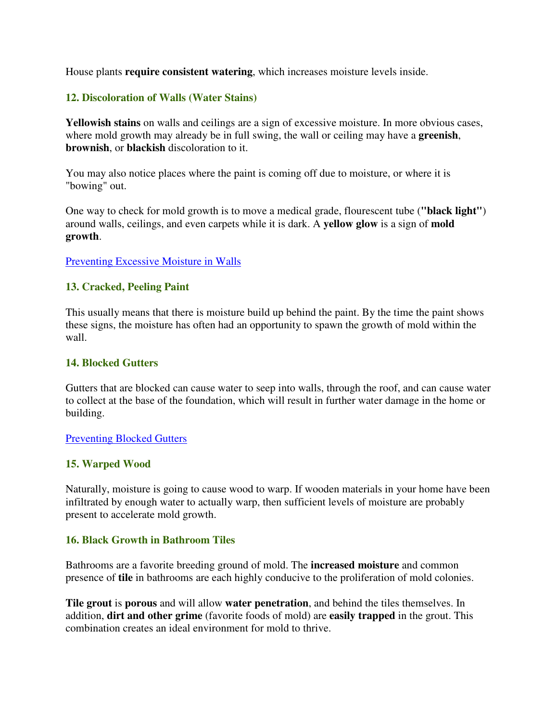House plants **require consistent watering**, which increases moisture levels inside.

## **12. Discoloration of Walls (Water Stains)**

**Yellowish stains** on walls and ceilings are a sign of excessive moisture. In more obvious cases, where mold growth may already be in full swing, the wall or ceiling may have a **greenish**, **brownish**, or **blackish** discoloration to it.

You may also notice places where the paint is coming off due to moisture, or where it is "bowing" out.

One way to check for mold growth is to move a medical grade, flourescent tube (**"black light"**) around walls, ceilings, and even carpets while it is dark. A **yellow glow** is a sign of **mold growth**.

#### Preventing Excessive Moisture in Walls

## **13. Cracked, Peeling Paint**

This usually means that there is moisture build up behind the paint. By the time the paint shows these signs, the moisture has often had an opportunity to spawn the growth of mold within the wall.

#### **14. Blocked Gutters**

Gutters that are blocked can cause water to seep into walls, through the roof, and can cause water to collect at the base of the foundation, which will result in further water damage in the home or building.

#### Preventing Blocked Gutters

## **15. Warped Wood**

Naturally, moisture is going to cause wood to warp. If wooden materials in your home have been infiltrated by enough water to actually warp, then sufficient levels of moisture are probably present to accelerate mold growth.

## **16. Black Growth in Bathroom Tiles**

Bathrooms are a favorite breeding ground of mold. The **increased moisture** and common presence of **tile** in bathrooms are each highly conducive to the proliferation of mold colonies.

**Tile grout** is **porous** and will allow **water penetration**, and behind the tiles themselves. In addition, **dirt and other grime** (favorite foods of mold) are **easily trapped** in the grout. This combination creates an ideal environment for mold to thrive.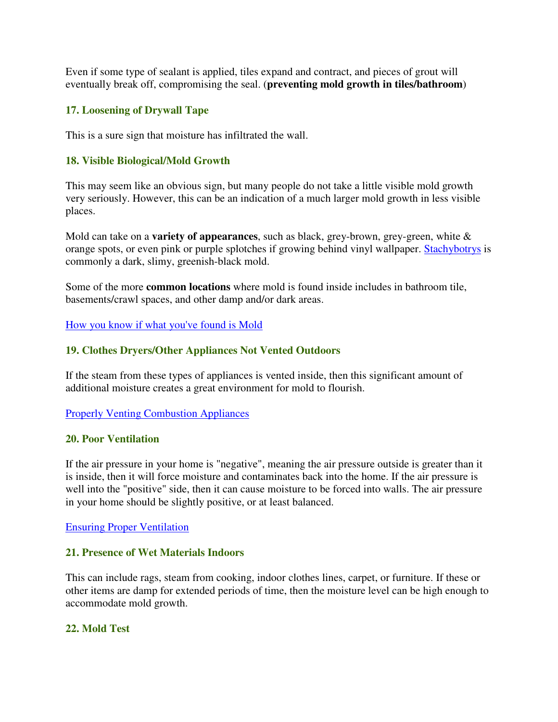Even if some type of sealant is applied, tiles expand and contract, and pieces of grout will eventually break off, compromising the seal. (**preventing mold growth in tiles/bathroom**)

## **17. Loosening of Drywall Tape**

This is a sure sign that moisture has infiltrated the wall.

## **18. Visible Biological/Mold Growth**

This may seem like an obvious sign, but many people do not take a little visible mold growth very seriously. However, this can be an indication of a much larger mold growth in less visible places.

Mold can take on a **variety of appearances**, such as black, grey-brown, grey-green, white & orange spots, or even pink or purple splotches if growing behind vinyl wallpaper. Stachybotrys is commonly a dark, slimy, greenish-black mold.

Some of the more **common locations** where mold is found inside includes in bathroom tile, basements/crawl spaces, and other damp and/or dark areas.

How you know if what you've found is Mold

## **19. Clothes Dryers/Other Appliances Not Vented Outdoors**

If the steam from these types of appliances is vented inside, then this significant amount of additional moisture creates a great environment for mold to flourish.

Properly Venting Combustion Appliances

## **20. Poor Ventilation**

If the air pressure in your home is "negative", meaning the air pressure outside is greater than it is inside, then it will force moisture and contaminates back into the home. If the air pressure is well into the "positive" side, then it can cause moisture to be forced into walls. The air pressure in your home should be slightly positive, or at least balanced.

Ensuring Proper Ventilation

## **21. Presence of Wet Materials Indoors**

This can include rags, steam from cooking, indoor clothes lines, carpet, or furniture. If these or other items are damp for extended periods of time, then the moisture level can be high enough to accommodate mold growth.

## **22. Mold Test**